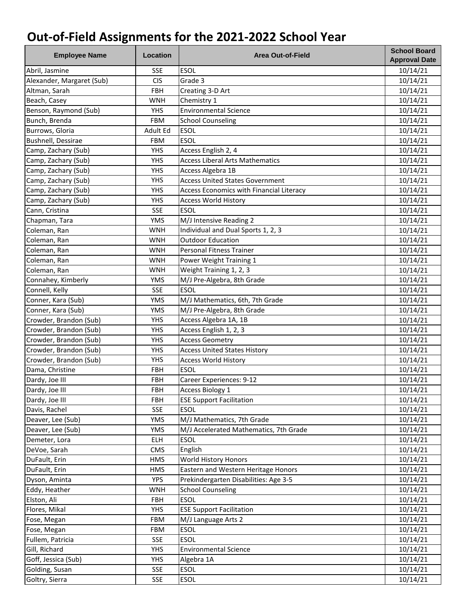| <b>Employee Name</b>      | Location   | <b>Area Out-of-Field</b>                        | <b>School Board</b><br><b>Approval Date</b> |
|---------------------------|------------|-------------------------------------------------|---------------------------------------------|
| Abril, Jasmine            | <b>SSE</b> | <b>ESOL</b>                                     | 10/14/21                                    |
| Alexander, Margaret (Sub) | <b>CIS</b> | Grade 3                                         | 10/14/21                                    |
| Altman, Sarah             | FBH        | Creating 3-D Art                                | 10/14/21                                    |
| Beach, Casey              | <b>WNH</b> | Chemistry 1                                     | 10/14/21                                    |
| Benson, Raymond (Sub)     | <b>YHS</b> | <b>Environmental Science</b>                    | 10/14/21                                    |
| Bunch, Brenda             | <b>FBM</b> | <b>School Counseling</b>                        | 10/14/21                                    |
| Burrows, Gloria           | Adult Ed   | <b>ESOL</b>                                     | 10/14/21                                    |
| Bushnell, Dessirae        | <b>FBM</b> | <b>ESOL</b>                                     | 10/14/21                                    |
| Camp, Zachary (Sub)       | <b>YHS</b> | Access English 2, 4                             | 10/14/21                                    |
| Camp, Zachary (Sub)       | <b>YHS</b> | <b>Access Liberal Arts Mathematics</b>          | 10/14/21                                    |
| Camp, Zachary (Sub)       | <b>YHS</b> | Access Algebra 1B                               | 10/14/21                                    |
| Camp, Zachary (Sub)       | <b>YHS</b> | <b>Access United States Government</b>          | 10/14/21                                    |
| Camp, Zachary (Sub)       | <b>YHS</b> | <b>Access Economics with Financial Literacy</b> | 10/14/21                                    |
| Camp, Zachary (Sub)       | <b>YHS</b> | <b>Access World History</b>                     | 10/14/21                                    |
| Cann, Cristina            | <b>SSE</b> | <b>ESOL</b>                                     | 10/14/21                                    |
| Chapman, Tara             | <b>YMS</b> | M/J Intensive Reading 2                         | 10/14/21                                    |
| Coleman, Ran              | <b>WNH</b> | Individual and Dual Sports 1, 2, 3              | 10/14/21                                    |
| Coleman, Ran              | <b>WNH</b> | <b>Outdoor Education</b>                        | 10/14/21                                    |
| Coleman, Ran              | <b>WNH</b> | Personal Fitness Trainer                        | 10/14/21                                    |
| Coleman, Ran              | <b>WNH</b> | Power Weight Training 1                         | 10/14/21                                    |
| Coleman, Ran              | <b>WNH</b> | Weight Training 1, 2, 3                         | 10/14/21                                    |
| Connahey, Kimberly        | <b>YMS</b> | M/J Pre-Algebra, 8th Grade                      | 10/14/21                                    |
| Connell, Kelly            | <b>SSE</b> | <b>ESOL</b>                                     | 10/14/21                                    |
| Conner, Kara (Sub)        | <b>YMS</b> | M/J Mathematics, 6th, 7th Grade                 | 10/14/21                                    |
| Conner, Kara (Sub)        | <b>YMS</b> | M/J Pre-Algebra, 8th Grade                      | 10/14/21                                    |
| Crowder, Brandon (Sub)    | <b>YHS</b> | Access Algebra 1A, 1B                           | 10/14/21                                    |
| Crowder, Brandon (Sub)    | <b>YHS</b> | Access English 1, 2, 3                          | 10/14/21                                    |
| Crowder, Brandon (Sub)    | <b>YHS</b> | <b>Access Geometry</b>                          | 10/14/21                                    |
| Crowder, Brandon (Sub)    | <b>YHS</b> | <b>Access United States History</b>             | 10/14/21                                    |
| Crowder, Brandon (Sub)    | <b>YHS</b> | <b>Access World History</b>                     | 10/14/21                                    |
| Dama, Christine           | FBH        | <b>ESOL</b>                                     | 10/14/21                                    |
| Dardy, Joe III            | <b>FBH</b> | Career Experiences: 9-12                        | 10/14/21                                    |
| Dardy, Joe III            | FBH        | <b>Access Biology 1</b>                         | 10/14/21                                    |
| Dardy, Joe III            | <b>FBH</b> | <b>ESE Support Facilitation</b>                 | 10/14/21                                    |
| Davis, Rachel             | <b>SSE</b> | <b>ESOL</b>                                     | 10/14/21                                    |
| Deaver, Lee (Sub)         | <b>YMS</b> | M/J Mathematics, 7th Grade                      | 10/14/21                                    |
| Deaver, Lee (Sub)         | <b>YMS</b> | M/J Accelerated Mathematics, 7th Grade          | 10/14/21                                    |
| Demeter, Lora             | <b>ELH</b> | <b>ESOL</b>                                     | 10/14/21                                    |
| DeVoe, Sarah              | CMS        | English                                         | 10/14/21                                    |
| DuFault, Erin             | <b>HMS</b> | World History Honors                            | 10/14/21                                    |
| DuFault, Erin             | <b>HMS</b> | Eastern and Western Heritage Honors             | 10/14/21                                    |
| Dyson, Aminta             | <b>YPS</b> | Prekindergarten Disabilities: Age 3-5           | 10/14/21                                    |
| Eddy, Heather             | <b>WNH</b> | <b>School Counseling</b>                        | 10/14/21                                    |
| Elston, Ali               | FBH        | <b>ESOL</b>                                     | 10/14/21                                    |
| Flores, Mikal             | <b>YHS</b> | <b>ESE Support Facilitation</b>                 | 10/14/21                                    |
| Fose, Megan               | <b>FBM</b> | M/J Language Arts 2                             | 10/14/21                                    |
| Fose, Megan               | <b>FBM</b> | <b>ESOL</b>                                     | 10/14/21                                    |
| Fullem, Patricia          | <b>SSE</b> | <b>ESOL</b>                                     | 10/14/21                                    |
| Gill, Richard             | <b>YHS</b> | <b>Environmental Science</b>                    | 10/14/21                                    |
| Goff, Jessica (Sub)       | <b>YHS</b> | Algebra 1A                                      | 10/14/21                                    |
| Golding, Susan            | <b>SSE</b> | <b>ESOL</b>                                     | 10/14/21                                    |
| Goltry, Sierra            | <b>SSE</b> | <b>ESOL</b>                                     | 10/14/21                                    |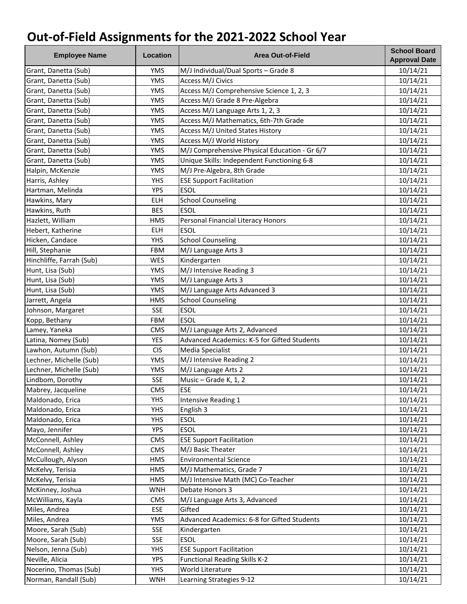| <b>Employee Name</b>     | Location   | <b>Area Out-of-Field</b>                           | <b>School Board</b><br><b>Approval Date</b> |
|--------------------------|------------|----------------------------------------------------|---------------------------------------------|
| Grant, Danetta (Sub)     | <b>YMS</b> | M/J Individual/Dual Sports - Grade 8               | 10/14/21                                    |
| Grant, Danetta (Sub)     | <b>YMS</b> | Access M/J Civics                                  | 10/14/21                                    |
| Grant, Danetta (Sub)     | <b>YMS</b> | Access M/J Comprehensive Science 1, 2, 3           | 10/14/21                                    |
| Grant, Danetta (Sub)     | <b>YMS</b> | Access M/J Grade 8 Pre-Algebra                     | 10/14/21                                    |
| Grant, Danetta (Sub)     | <b>YMS</b> | Access M/J Language Arts 1, 2, 3                   | 10/14/21                                    |
| Grant, Danetta (Sub)     | <b>YMS</b> | Access M/J Mathematics, 6th-7th Grade              | 10/14/21                                    |
| Grant, Danetta (Sub)     | <b>YMS</b> | Access M/J United States History                   | 10/14/21                                    |
| Grant, Danetta (Sub)     | <b>YMS</b> | Access M/J World History                           | 10/14/21                                    |
| Grant, Danetta (Sub)     | <b>YMS</b> | M/J Comprehensive Physical Education - Gr 6/7      | 10/14/21                                    |
| Grant, Danetta (Sub)     | <b>YMS</b> | Unique Skills: Independent Functioning 6-8         | 10/14/21                                    |
| Halpin, McKenzie         | <b>YMS</b> | M/J Pre-Algebra, 8th Grade                         | 10/14/21                                    |
| Harris, Ashley           | <b>YHS</b> | <b>ESE Support Facilitation</b>                    | 10/14/21                                    |
| Hartman, Melinda         | <b>YPS</b> | <b>ESOL</b>                                        | 10/14/21                                    |
| Hawkins, Mary            | <b>ELH</b> | <b>School Counseling</b>                           | 10/14/21                                    |
| Hawkins, Ruth            | <b>BES</b> | <b>ESOL</b>                                        | 10/14/21                                    |
| Hazlett, William         | <b>HMS</b> | Personal Financial Literacy Honors                 | 10/14/21                                    |
| Hebert, Katherine        | ELH        | <b>ESOL</b>                                        | 10/14/21                                    |
| Hicken, Candace          | <b>YHS</b> | <b>School Counseling</b>                           | 10/14/21                                    |
| Hill, Stephanie          | <b>FBM</b> | M/J Language Arts 3                                | 10/14/21                                    |
| Hinchliffe, Farrah (Sub) | WES        | Kindergarten                                       | 10/14/21                                    |
| Hunt, Lisa (Sub)         | <b>YMS</b> | M/J Intensive Reading 3                            | 10/14/21                                    |
| Hunt, Lisa (Sub)         | <b>YMS</b> | M/J Language Arts 3                                | 10/14/21                                    |
| Hunt, Lisa (Sub)         | <b>YMS</b> | M/J Language Arts Advanced 3                       | 10/14/21                                    |
| Jarrett, Angela          | <b>HMS</b> | <b>School Counseling</b>                           | 10/14/21                                    |
| Johnson, Margaret        | <b>SSE</b> | <b>ESOL</b>                                        | 10/14/21                                    |
| Kopp, Bethany            | <b>FBM</b> | <b>ESOL</b>                                        | 10/14/21                                    |
| Lamey, Yaneka            | <b>CMS</b> | M/J Language Arts 2, Advanced                      | 10/14/21                                    |
| Latina, Nomey (Sub)      | <b>YES</b> | Advanced Academics: K-5 for Gifted Students        | 10/14/21                                    |
| Lawhon, Autumn (Sub)     | <b>CIS</b> | Media Specialist                                   | 10/14/21                                    |
| Lechner, Michelle (Sub)  | <b>YMS</b> | $\overline{M}/J$ Intensive Reading 2               | 10/14/21                                    |
| Lechner, Michelle (Sub)  | <b>YMS</b> | M/J Language Arts 2                                | 10/14/21                                    |
| Lindbom, Dorothy         | <b>SSE</b> | Music - Grade K, 1, 2                              | 10/14/21                                    |
| Mabrey, Jacqueline       | CMS        | <b>ESE</b>                                         | 10/14/21                                    |
| Maldonado, Erica         | <b>YHS</b> | Intensive Reading 1                                | 10/14/21                                    |
| Maldonado, Erica         | <b>YHS</b> | English 3                                          | 10/14/21                                    |
| Maldonado, Erica         | <b>YHS</b> | <b>ESOL</b>                                        | 10/14/21                                    |
| Mayo, Jennifer           | <b>YPS</b> | <b>ESOL</b>                                        | 10/14/21                                    |
| McConnell, Ashley        | <b>CMS</b> | <b>ESE Support Facilitation</b>                    | 10/14/21                                    |
| McConnell, Ashley        | <b>CMS</b> | M/J Basic Theater                                  | 10/14/21                                    |
| McCullough, Alyson       | <b>HMS</b> | <b>Environmental Science</b>                       | 10/14/21                                    |
| McKelvy, Terisia         | <b>HMS</b> | M/J Mathematics, Grade 7                           | 10/14/21                                    |
| McKelvy, Terisia         | <b>HMS</b> | M/J Intensive Math (MC) Co-Teacher                 | 10/14/21                                    |
| McKinney, Joshua         | <b>WNH</b> | Debate Honors 3                                    | 10/14/21                                    |
| McWilliams, Kayla        | <b>CMS</b> | M/J Language Arts 3, Advanced                      | 10/14/21                                    |
| Miles, Andrea            | ESE        | Gifted                                             | 10/14/21                                    |
| Miles, Andrea            | <b>YMS</b> | <b>Advanced Academics: 6-8 for Gifted Students</b> | 10/14/21                                    |
| Moore, Sarah (Sub)       | <b>SSE</b> | Kindergarten                                       | 10/14/21                                    |
| Moore, Sarah (Sub)       | <b>SSE</b> | <b>ESOL</b>                                        | 10/14/21                                    |
| Nelson, Jenna (Sub)      | <b>YHS</b> | <b>ESE Support Facilitation</b>                    | 10/14/21                                    |
| Neville, Alicia          | <b>YPS</b> | <b>Functional Reading Skills K-2</b>               | 10/14/21                                    |
| Nocerino, Thomas (Sub)   | <b>YHS</b> | World Literature                                   | 10/14/21                                    |
| Norman, Randall (Sub)    | <b>WNH</b> | Learning Strategies 9-12                           | 10/14/21                                    |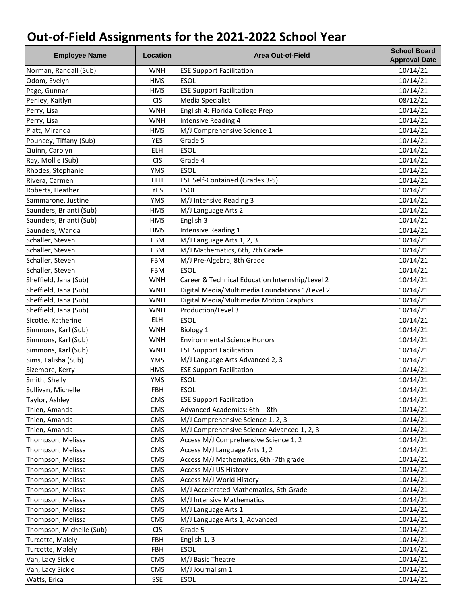| <b>Employee Name</b>     | Location   | <b>Area Out-of-Field</b>                        | <b>School Board</b><br><b>Approval Date</b> |
|--------------------------|------------|-------------------------------------------------|---------------------------------------------|
| Norman, Randall (Sub)    | <b>WNH</b> | <b>ESE Support Facilitation</b>                 | 10/14/21                                    |
| Odom, Evelyn             | <b>HMS</b> | <b>ESOL</b>                                     | 10/14/21                                    |
| Page, Gunnar             | <b>HMS</b> | <b>ESE Support Facilitation</b>                 | 10/14/21                                    |
| Penley, Kaitlyn          | <b>CIS</b> | Media Specialist                                | 08/12/21                                    |
| Perry, Lisa              | <b>WNH</b> | English 4: Florida College Prep                 | 10/14/21                                    |
| Perry, Lisa              | <b>WNH</b> | Intensive Reading 4                             | 10/14/21                                    |
| Platt, Miranda           | <b>HMS</b> | M/J Comprehensive Science 1                     | 10/14/21                                    |
| Pouncey, Tiffany (Sub)   | <b>YES</b> | Grade 5                                         | 10/14/21                                    |
| Quinn, Carolyn           | <b>ELH</b> | <b>ESOL</b>                                     | 10/14/21                                    |
| Ray, Mollie (Sub)        | <b>CIS</b> | Grade 4                                         | 10/14/21                                    |
| Rhodes, Stephanie        | <b>YMS</b> | <b>ESOL</b>                                     | 10/14/21                                    |
| Rivera, Carmen           | <b>ELH</b> | <b>ESE Self-Contained (Grades 3-5)</b>          | 10/14/21                                    |
| Roberts, Heather         | <b>YES</b> | <b>ESOL</b>                                     | 10/14/21                                    |
| Sammarone, Justine       | <b>YMS</b> | M/J Intensive Reading 3                         | 10/14/21                                    |
| Saunders, Brianti (Sub)  | <b>HMS</b> | M/J Language Arts 2                             | 10/14/21                                    |
| Saunders, Brianti (Sub)  | <b>HMS</b> | English 3                                       | 10/14/21                                    |
| Saunders, Wanda          | <b>HMS</b> | Intensive Reading 1                             | 10/14/21                                    |
| Schaller, Steven         | <b>FBM</b> | M/J Language Arts 1, 2, 3                       | 10/14/21                                    |
| Schaller, Steven         | <b>FBM</b> | M/J Mathematics, 6th, 7th Grade                 | 10/14/21                                    |
| Schaller, Steven         | <b>FBM</b> | M/J Pre-Algebra, 8th Grade                      | 10/14/21                                    |
| Schaller, Steven         | <b>FBM</b> | <b>ESOL</b>                                     | 10/14/21                                    |
| Sheffield, Jana (Sub)    | <b>WNH</b> | Career & Technical Education Internship/Level 2 | 10/14/21                                    |
| Sheffield, Jana (Sub)    | <b>WNH</b> | Digital Media/Multimedia Foundations 1/Level 2  | 10/14/21                                    |
| Sheffield, Jana (Sub)    | <b>WNH</b> | Digital Media/Multimedia Motion Graphics        | 10/14/21                                    |
| Sheffield, Jana (Sub)    | <b>WNH</b> | Production/Level 3                              | 10/14/21                                    |
| Sicotte, Katherine       | ELH        | <b>ESOL</b>                                     | 10/14/21                                    |
| Simmons, Karl (Sub)      | <b>WNH</b> | Biology 1                                       | 10/14/21                                    |
| Simmons, Karl (Sub)      | <b>WNH</b> | <b>Environmental Science Honors</b>             | 10/14/21                                    |
| Simmons, Karl (Sub)      | <b>WNH</b> | <b>ESE Support Facilitation</b>                 | 10/14/21                                    |
| Sims, Talisha (Sub)      | <b>YMS</b> | M/J Language Arts Advanced 2, 3                 | 10/14/21                                    |
| Sizemore, Kerry          | <b>HMS</b> | <b>ESE Support Facilitation</b>                 | 10/14/21                                    |
| Smith, Shelly            | <b>YMS</b> | <b>ESOL</b>                                     | 10/14/21                                    |
| Sullivan, Michelle       | FBH        | <b>ESOL</b>                                     | 10/14/21                                    |
| Taylor, Ashley           | CMS        | <b>ESE Support Facilitation</b>                 | 10/14/21                                    |
| Thien, Amanda            | <b>CMS</b> | Advanced Academics: 6th - 8th                   | 10/14/21                                    |
| Thien, Amanda            | <b>CMS</b> | M/J Comprehensive Science 1, 2, 3               | 10/14/21                                    |
| Thien, Amanda            | CMS        | M/J Comprehensive Science Advanced 1, 2, 3      | 10/14/21                                    |
| Thompson, Melissa        | <b>CMS</b> | Access M/J Comprehensive Science 1, 2           | 10/14/21                                    |
| Thompson, Melissa        | <b>CMS</b> | Access M/J Language Arts 1, 2                   | 10/14/21                                    |
| Thompson, Melissa        | CMS        | Access M/J Mathematics, 6th -7th grade          | 10/14/21                                    |
| Thompson, Melissa        | CMS        | Access M/J US History                           | 10/14/21                                    |
| Thompson, Melissa        | <b>CMS</b> | Access M/J World History                        | 10/14/21                                    |
| Thompson, Melissa        | CMS        | M/J Accelerated Mathematics, 6th Grade          | 10/14/21                                    |
| Thompson, Melissa        | <b>CMS</b> | M/J Intensive Mathematics                       | 10/14/21                                    |
| Thompson, Melissa        | CMS        | M/J Language Arts 1                             | 10/14/21                                    |
| Thompson, Melissa        | <b>CMS</b> | M/J Language Arts 1, Advanced                   | 10/14/21                                    |
| Thompson, Michelle (Sub) | <b>CIS</b> | Grade 5                                         | 10/14/21                                    |
| Turcotte, Malely         | FBH        | English 1, 3                                    | 10/14/21                                    |
| Turcotte, Malely         | FBH        | <b>ESOL</b>                                     | 10/14/21                                    |
| Van, Lacy Sickle         | CMS        | M/J Basic Theatre                               | 10/14/21                                    |
| Van, Lacy Sickle         | CMS        | M/J Journalism 1                                | 10/14/21                                    |
| Watts, Erica             | <b>SSE</b> | <b>ESOL</b>                                     | 10/14/21                                    |